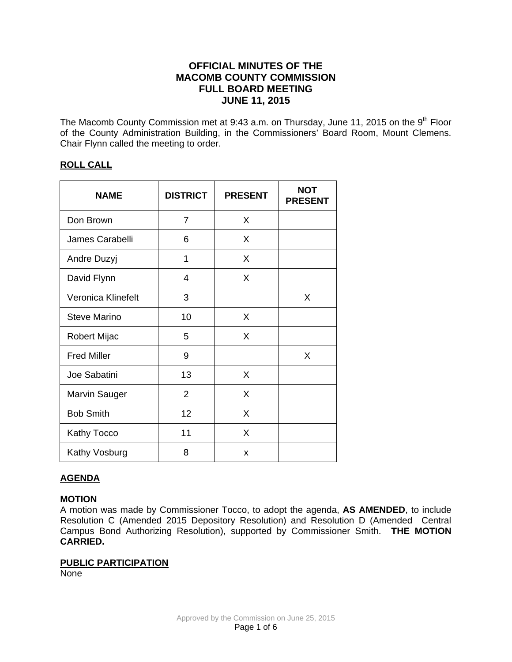# **OFFICIAL MINUTES OF THE MACOMB COUNTY COMMISSION FULL BOARD MEETING JUNE 11, 2015**

The Macomb County Commission met at 9:43 a.m. on Thursday, June 11, 2015 on the 9<sup>th</sup> Floor of the County Administration Building, in the Commissioners' Board Room, Mount Clemens. Chair Flynn called the meeting to order.

# **ROLL CALL**

| <b>NAME</b>          | <b>DISTRICT</b> | <b>PRESENT</b> | <b>NOT</b><br><b>PRESENT</b> |
|----------------------|-----------------|----------------|------------------------------|
| Don Brown            | 7               | X              |                              |
| James Carabelli      | 6               | X              |                              |
| Andre Duzyj          | 1               | X              |                              |
| David Flynn          | 4               | X              |                              |
| Veronica Klinefelt   | 3               |                | X                            |
| Steve Marino         | 10              | X              |                              |
| Robert Mijac         | 5               | X              |                              |
| <b>Fred Miller</b>   | 9               |                | X                            |
| Joe Sabatini         | 13              | X              |                              |
| <b>Marvin Sauger</b> | $\overline{2}$  | X              |                              |
| <b>Bob Smith</b>     | 12              | X              |                              |
| <b>Kathy Tocco</b>   | 11              | X              |                              |
| Kathy Vosburg        | 8               | X              |                              |

# **AGENDA**

## **MOTION**

A motion was made by Commissioner Tocco, to adopt the agenda, **AS AMENDED**, to include Resolution C (Amended 2015 Depository Resolution) and Resolution D (Amended Central Campus Bond Authorizing Resolution), supported by Commissioner Smith. **THE MOTION CARRIED.** 

## **PUBLIC PARTICIPATION**

None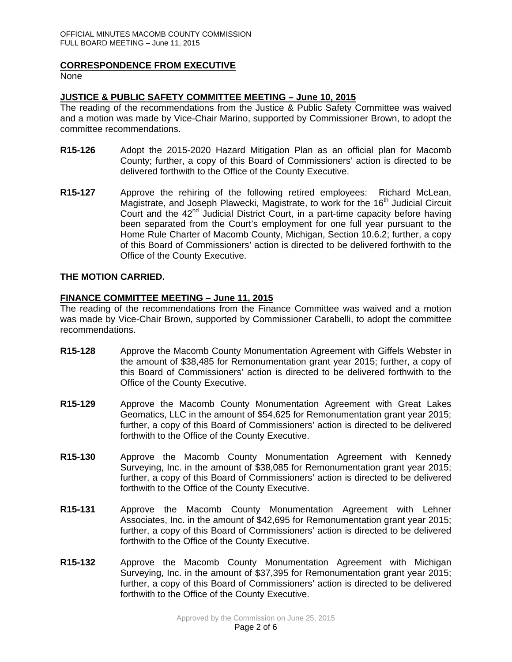### **CORRESPONDENCE FROM EXECUTIVE**

None

## **JUSTICE & PUBLIC SAFETY COMMITTEE MEETING – June 10, 2015**

The reading of the recommendations from the Justice & Public Safety Committee was waived and a motion was made by Vice-Chair Marino, supported by Commissioner Brown, to adopt the committee recommendations.

- **R15-126** Adopt the 2015-2020 Hazard Mitigation Plan as an official plan for Macomb County; further, a copy of this Board of Commissioners' action is directed to be delivered forthwith to the Office of the County Executive.
- **R15-127** Approve the rehiring of the following retired employees: Richard McLean, Magistrate, and Joseph Plawecki, Magistrate, to work for the 16<sup>th</sup> Judicial Circuit Court and the 42<sup>nd</sup> Judicial District Court, in a part-time capacity before having been separated from the Court's employment for one full year pursuant to the Home Rule Charter of Macomb County, Michigan, Section 10.6.2; further, a copy of this Board of Commissioners' action is directed to be delivered forthwith to the Office of the County Executive.

## **THE MOTION CARRIED.**

### **FINANCE COMMITTEE MEETING – June 11, 2015**

The reading of the recommendations from the Finance Committee was waived and a motion was made by Vice-Chair Brown, supported by Commissioner Carabelli, to adopt the committee recommendations.

- **R15-128** Approve the Macomb County Monumentation Agreement with Giffels Webster in the amount of \$38,485 for Remonumentation grant year 2015; further, a copy of this Board of Commissioners' action is directed to be delivered forthwith to the Office of the County Executive.
- **R15-129** Approve the Macomb County Monumentation Agreement with Great Lakes Geomatics, LLC in the amount of \$54,625 for Remonumentation grant year 2015; further, a copy of this Board of Commissioners' action is directed to be delivered forthwith to the Office of the County Executive.
- **R15-130** Approve the Macomb County Monumentation Agreement with Kennedy Surveying, Inc. in the amount of \$38,085 for Remonumentation grant year 2015; further, a copy of this Board of Commissioners' action is directed to be delivered forthwith to the Office of the County Executive.
- **R15-131** Approve the Macomb County Monumentation Agreement with Lehner Associates, Inc. in the amount of \$42,695 for Remonumentation grant year 2015; further, a copy of this Board of Commissioners' action is directed to be delivered forthwith to the Office of the County Executive.
- **R15-132** Approve the Macomb County Monumentation Agreement with Michigan Surveying, Inc. in the amount of \$37,395 for Remonumentation grant year 2015; further, a copy of this Board of Commissioners' action is directed to be delivered forthwith to the Office of the County Executive.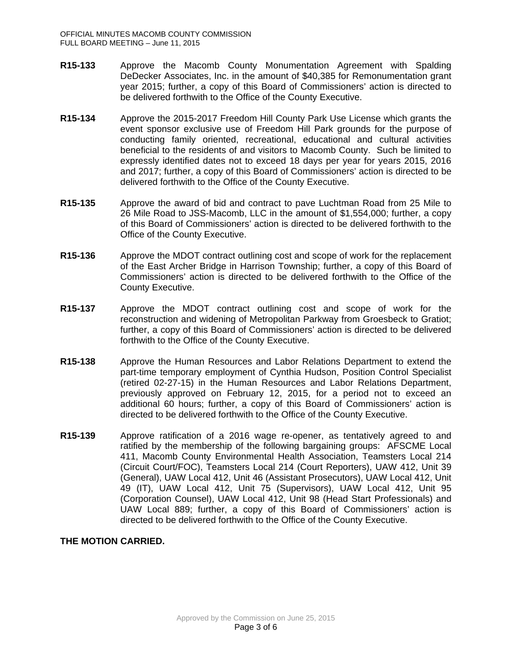- **R15-133** Approve the Macomb County Monumentation Agreement with Spalding DeDecker Associates, Inc. in the amount of \$40,385 for Remonumentation grant year 2015; further, a copy of this Board of Commissioners' action is directed to be delivered forthwith to the Office of the County Executive.
- **R15-134** Approve the 2015-2017 Freedom Hill County Park Use License which grants the event sponsor exclusive use of Freedom Hill Park grounds for the purpose of conducting family oriented, recreational, educational and cultural activities beneficial to the residents of and visitors to Macomb County. Such be limited to expressly identified dates not to exceed 18 days per year for years 2015, 2016 and 2017; further, a copy of this Board of Commissioners' action is directed to be delivered forthwith to the Office of the County Executive.
- **R15-135** Approve the award of bid and contract to pave Luchtman Road from 25 Mile to 26 Mile Road to JSS-Macomb, LLC in the amount of \$1,554,000; further, a copy of this Board of Commissioners' action is directed to be delivered forthwith to the Office of the County Executive.
- **R15-136** Approve the MDOT contract outlining cost and scope of work for the replacement of the East Archer Bridge in Harrison Township; further, a copy of this Board of Commissioners' action is directed to be delivered forthwith to the Office of the County Executive.
- **R15-137** Approve the MDOT contract outlining cost and scope of work for the reconstruction and widening of Metropolitan Parkway from Groesbeck to Gratiot; further, a copy of this Board of Commissioners' action is directed to be delivered forthwith to the Office of the County Executive.
- **R15-138** Approve the Human Resources and Labor Relations Department to extend the part-time temporary employment of Cynthia Hudson, Position Control Specialist (retired 02-27-15) in the Human Resources and Labor Relations Department, previously approved on February 12, 2015, for a period not to exceed an additional 60 hours; further, a copy of this Board of Commissioners' action is directed to be delivered forthwith to the Office of the County Executive.
- **R15-139** Approve ratification of a 2016 wage re-opener, as tentatively agreed to and ratified by the membership of the following bargaining groups: AFSCME Local 411, Macomb County Environmental Health Association, Teamsters Local 214 (Circuit Court/FOC), Teamsters Local 214 (Court Reporters), UAW 412, Unit 39 (General), UAW Local 412, Unit 46 (Assistant Prosecutors), UAW Local 412, Unit 49 (IT), UAW Local 412, Unit 75 (Supervisors), UAW Local 412, Unit 95 (Corporation Counsel), UAW Local 412, Unit 98 (Head Start Professionals) and UAW Local 889; further, a copy of this Board of Commissioners' action is directed to be delivered forthwith to the Office of the County Executive.

## **THE MOTION CARRIED.**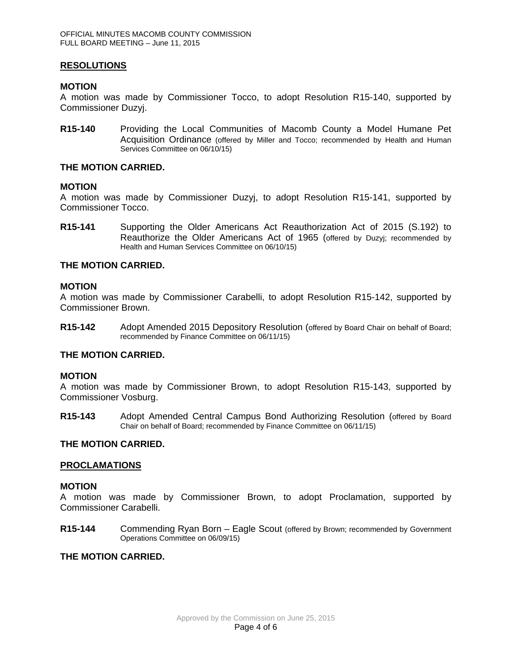### **RESOLUTIONS**

### **MOTION**

A motion was made by Commissioner Tocco, to adopt Resolution R15-140, supported by Commissioner Duzyj.

**R15-140** Providing the Local Communities of Macomb County a Model Humane Pet Acquisition Ordinance (offered by Miller and Tocco; recommended by Health and Human Services Committee on 06/10/15)

### **THE MOTION CARRIED.**

#### **MOTION**

A motion was made by Commissioner Duzyj, to adopt Resolution R15-141, supported by Commissioner Tocco.

**R15-141** Supporting the Older Americans Act Reauthorization Act of 2015 (S.192) to Reauthorize the Older Americans Act of 1965 (offered by Duzyj; recommended by Health and Human Services Committee on 06/10/15)

### **THE MOTION CARRIED.**

#### **MOTION**

A motion was made by Commissioner Carabelli, to adopt Resolution R15-142, supported by Commissioner Brown.

**R15-142** Adopt Amended 2015 Depository Resolution (offered by Board Chair on behalf of Board; recommended by Finance Committee on 06/11/15)

## **THE MOTION CARRIED.**

#### **MOTION**

A motion was made by Commissioner Brown, to adopt Resolution R15-143, supported by Commissioner Vosburg.

**R15-143** Adopt Amended Central Campus Bond Authorizing Resolution (offered by Board Chair on behalf of Board; recommended by Finance Committee on 06/11/15)

#### **THE MOTION CARRIED.**

### **PROCLAMATIONS**

#### **MOTION**

A motion was made by Commissioner Brown, to adopt Proclamation, supported by Commissioner Carabelli.

**R15-144** Commending Ryan Born – Eagle Scout (offered by Brown; recommended by Government Operations Committee on 06/09/15)

### **THE MOTION CARRIED.**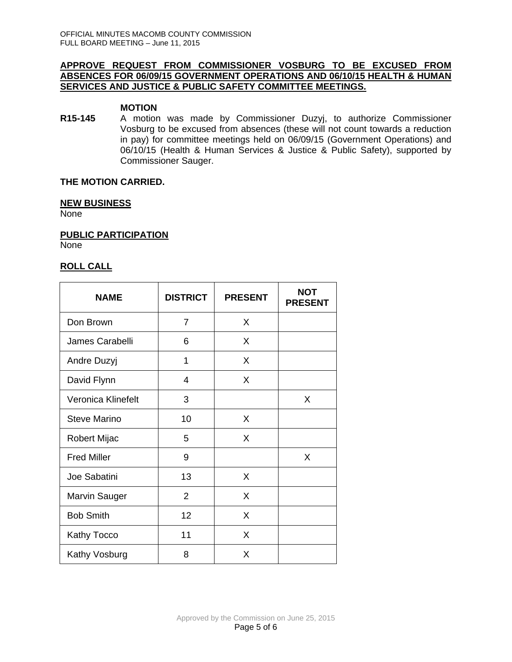### **APPROVE REQUEST FROM COMMISSIONER VOSBURG TO BE EXCUSED FROM ABSENCES FOR 06/09/15 GOVERNMENT OPERATIONS AND 06/10/15 HEALTH & HUMAN SERVICES AND JUSTICE & PUBLIC SAFETY COMMITTEE MEETINGS.**

### **MOTION**

**R15-145** A motion was made by Commissioner Duzyj, to authorize Commissioner Vosburg to be excused from absences (these will not count towards a reduction in pay) for committee meetings held on 06/09/15 (Government Operations) and 06/10/15 (Health & Human Services & Justice & Public Safety), supported by Commissioner Sauger.

## **THE MOTION CARRIED.**

### **NEW BUSINESS**

None

**PUBLIC PARTICIPATION**

None

## **ROLL CALL**

| <b>NAME</b>          | <b>DISTRICT</b> | <b>PRESENT</b> | <b>NOT</b><br><b>PRESENT</b> |
|----------------------|-----------------|----------------|------------------------------|
| Don Brown            | 7               | X              |                              |
| James Carabelli      | 6               | X              |                              |
| Andre Duzyj          | 1               | X              |                              |
| David Flynn          | 4               | X              |                              |
| Veronica Klinefelt   | 3               |                | X                            |
| Steve Marino         | 10              | X              |                              |
| Robert Mijac         | 5               | X              |                              |
| <b>Fred Miller</b>   | 9               |                | X                            |
| Joe Sabatini         | 13              | X              |                              |
| <b>Marvin Sauger</b> | $\overline{2}$  | X              |                              |
| <b>Bob Smith</b>     | 12              | X              |                              |
| Kathy Tocco          | 11              | X              |                              |
| Kathy Vosburg        | 8               | X              |                              |